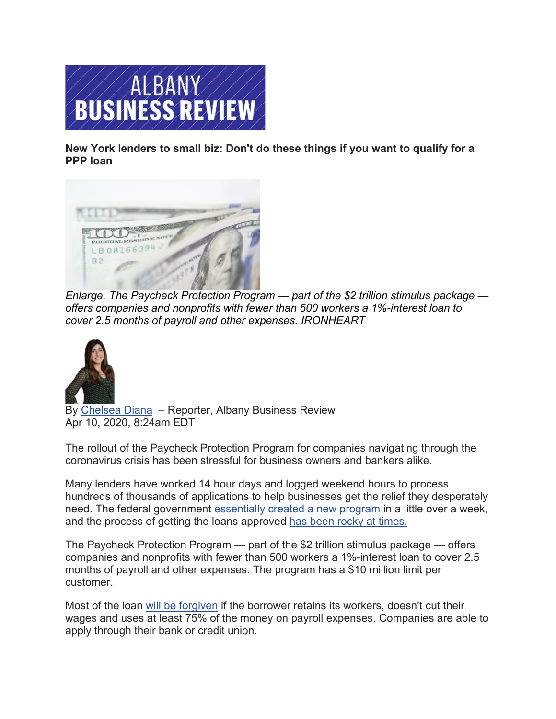

**New York lenders to small biz: Don't do these things if you want to qualify for a [PPP loan](https://www.bizjournals.com/)**



*[Enlarge.](https://www.bizjournals.com/) The Paycheck Protection Program — part of the \$2 trillion stimulus package offers companies and nonprofits with fewer than 500 workers a 1%-interest loan to [cover 2.5 months of payroll and other expenses.](https://www.bizjournals.com/albany/bio/25841/Chelsea+Diana) IRONHEART*



By [Chelsea](https://www.bizjournals.com/albany/bio/25841/Chelsea+Diana) Diana – Reporter, Albany Business Review Apr 10, 2020, 8:24am EDT

The rollout of the Paycheck Protection Program for companies navigating through the coronavirus crisis has been stressful for business owners and bankers alike.

Many lenders have worked 14 hour days and logged weekend hours to process hundreds of thousands of applications to help businesses get the relief they desperately need. The federal government [essentially created a new program](https://www.bizjournals.com/albany/news/2020/04/08/coronavirus-has-overwhelmed-the-sba-is-overwhelmed.html?iana=hpmvp_alby_news_headline) in a little over a week, and the process of getting the loans approved [has been rocky at times.](https://www.bizjournals.com/albany/news/2020/04/06/community-banks-paycheck-protection-loans-albany.html)

The Paycheck Protection Program — part of the \$2 trillion stimulus package — offers companies and nonprofits with fewer than 500 workers a 1%-interest loan to cover 2.5 months of payroll and other expenses. The program has a \$10 million limit per customer.

Most of the loan [will be forgiven](https://www.bizjournals.com/albany/news/2020/04/09/sba-ppp-eidl-loans-coronavirus-businesses.html?iana=hpmvp_alby_news_headline) if the borrower retains its workers, doesn't cut their wages and uses at least 75% of the money on payroll expenses. Companies are able to apply through their bank or credit union.